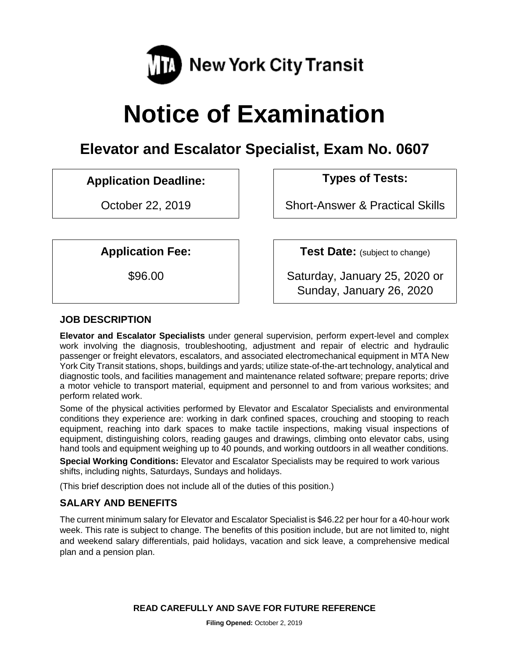

# **Notice of Examination**

## **Elevator and Escalator Specialist, Exam No. 0607**

### **Application Deadline: Types of Tests:**

October 22, 2019 **Short-Answer & Practical Skills** 

**Application Fee: Test Date:** (subject to change)

\$96.00 Saturday, January 25, 2020 or Sunday, January 26, 2020

#### **JOB DESCRIPTION**

**Elevator and Escalator Specialists** under general supervision, perform expert-level and complex work involving the diagnosis, troubleshooting, adjustment and repair of electric and hydraulic passenger or freight elevators, escalators, and associated electromechanical equipment in MTA New York City Transit stations, shops, buildings and yards; utilize state-of-the-art technology, analytical and diagnostic tools, and facilities management and maintenance related software; prepare reports; drive a motor vehicle to transport material, equipment and personnel to and from various worksites; and perform related work.

Some of the physical activities performed by Elevator and Escalator Specialists and environmental conditions they experience are: working in dark confined spaces, crouching and stooping to reach equipment, reaching into dark spaces to make tactile inspections, making visual inspections of equipment, distinguishing colors, reading gauges and drawings, climbing onto elevator cabs, using hand tools and equipment weighing up to 40 pounds, and working outdoors in all weather conditions.

**Special Working Conditions:** Elevator and Escalator Specialists may be required to work various shifts, including nights, Saturdays, Sundays and holidays.

(This brief description does not include all of the duties of this position.)

#### **SALARY AND BENEFITS**

The current minimum salary for Elevator and Escalator Specialist is \$46.22 per hour for a 40-hour work week. This rate is subject to change. The benefits of this position include, but are not limited to, night and weekend salary differentials, paid holidays, vacation and sick leave, a comprehensive medical plan and a pension plan.

**READ CAREFULLY AND SAVE FOR FUTURE REFERENCE**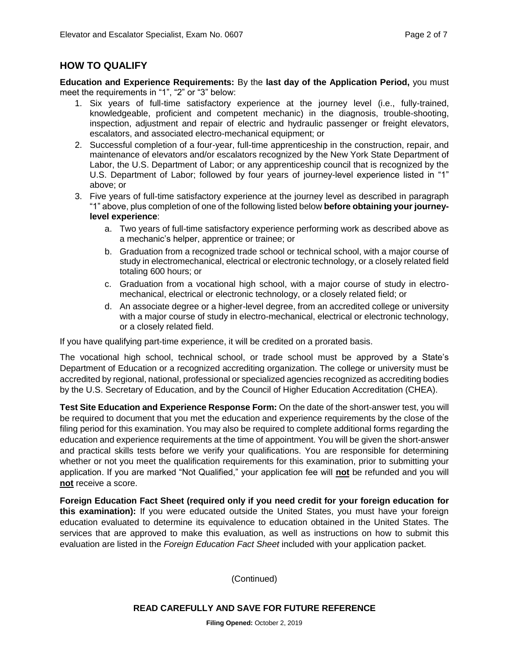#### **HOW TO QUALIFY**

**Education and Experience Requirements:** By the **last day of the Application Period,** you must meet the requirements in "1", "2" or "3" below:

- 1. Six years of full-time satisfactory experience at the journey level (i.e., fully-trained, knowledgeable, proficient and competent mechanic) in the diagnosis, trouble-shooting, inspection, adjustment and repair of electric and hydraulic passenger or freight elevators, escalators, and associated electro-mechanical equipment; or
- 2. Successful completion of a four-year, full-time apprenticeship in the construction, repair, and maintenance of elevators and/or escalators recognized by the New York State Department of Labor, the U.S. Department of Labor; or any apprenticeship council that is recognized by the U.S. Department of Labor; followed by four years of journey-level experience listed in "1" above; or
- 3. Five years of full-time satisfactory experience at the journey level as described in paragraph "1" above, plus completion of one of the following listed below **before obtaining your journeylevel experience**:
	- a. Two years of full-time satisfactory experience performing work as described above as a mechanic's helper, apprentice or trainee; or
	- b. Graduation from a recognized trade school or technical school, with a major course of study in electromechanical, electrical or electronic technology, or a closely related field totaling 600 hours; or
	- c. Graduation from a vocational high school, with a major course of study in electromechanical, electrical or electronic technology, or a closely related field; or
	- d. An associate degree or a higher-level degree, from an accredited college or university with a major course of study in electro-mechanical, electrical or electronic technology, or a closely related field.

If you have qualifying part-time experience, it will be credited on a prorated basis.

The vocational high school, technical school, or trade school must be approved by a State's Department of Education or a recognized accrediting organization. The college or university must be accredited by regional, national, professional or specialized agencies recognized as accrediting bodies by the U.S. Secretary of Education, and by the Council of Higher Education Accreditation (CHEA).

**Test Site Education and Experience Response Form:** On the date of the short-answer test, you will be required to document that you met the education and experience requirements by the close of the filing period for this examination. You may also be required to complete additional forms regarding the education and experience requirements at the time of appointment. You will be given the short-answer and practical skills tests before we verify your qualifications. You are responsible for determining whether or not you meet the qualification requirements for this examination, prior to submitting your application. If you are marked "Not Qualified," your application fee will **not** be refunded and you will **not** receive a score.

**Foreign Education Fact Sheet (required only if you need credit for your foreign education for this examination):** If you were educated outside the United States, you must have your foreign education evaluated to determine its equivalence to education obtained in the United States. The services that are approved to make this evaluation, as well as instructions on how to submit this evaluation are listed in the *Foreign Education Fact Sheet* included with your application packet.

(Continued)

**Filing Opened:** October 2, 2019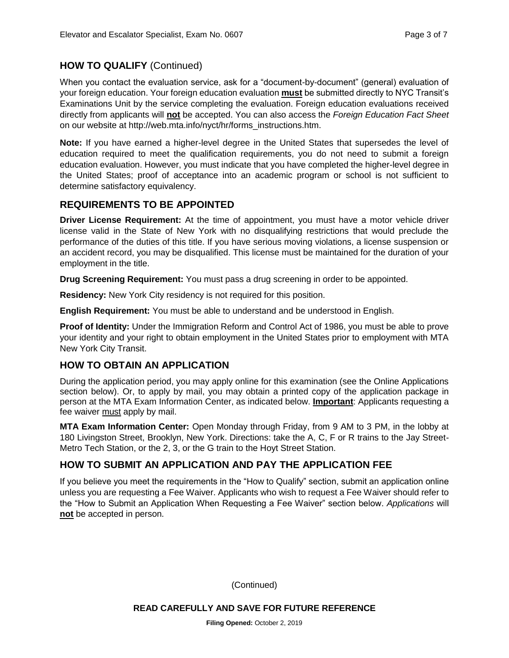#### **HOW TO QUALIFY** (Continued)

When you contact the evaluation service, ask for a "document-by-document" (general) evaluation of your foreign education. Your foreign education evaluation **must** be submitted directly to NYC Transit's Examinations Unit by the service completing the evaluation. Foreign education evaluations received directly from applicants will **not** be accepted. You can also access the *Foreign Education Fact Sheet*  on our website at http://web.mta.info/nyct/hr/forms\_instructions.htm.

**Note:** If you have earned a higher-level degree in the United States that supersedes the level of education required to meet the qualification requirements, you do not need to submit a foreign education evaluation. However, you must indicate that you have completed the higher-level degree in the United States; proof of acceptance into an academic program or school is not sufficient to determine satisfactory equivalency.

#### **REQUIREMENTS TO BE APPOINTED**

**Driver License Requirement:** At the time of appointment, you must have a motor vehicle driver license valid in the State of New York with no disqualifying restrictions that would preclude the performance of the duties of this title. If you have serious moving violations, a license suspension or an accident record, you may be disqualified. This license must be maintained for the duration of your employment in the title.

**Drug Screening Requirement:** You must pass a drug screening in order to be appointed.

**Residency:** New York City residency is not required for this position.

**English Requirement:** You must be able to understand and be understood in English.

**Proof of Identity:** Under the Immigration Reform and Control Act of 1986, you must be able to prove your identity and your right to obtain employment in the United States prior to employment with MTA New York City Transit.

#### **HOW TO OBTAIN AN APPLICATION**

During the application period, you may apply online for this examination (see the Online Applications section below). Or, to apply by mail, you may obtain a printed copy of the application package in person at the MTA Exam Information Center, as indicated below. **Important**: Applicants requesting a fee waiver must apply by mail.

**MTA Exam Information Center:** Open Monday through Friday, from 9 AM to 3 PM, in the lobby at 180 Livingston Street, Brooklyn, New York. Directions: take the A, C, F or R trains to the Jay Street-Metro Tech Station, or the 2, 3, or the G train to the Hoyt Street Station.

#### **HOW TO SUBMIT AN APPLICATION AND PAY THE APPLICATION FEE**

If you believe you meet the requirements in the "How to Qualify" section, submit an application online unless you are requesting a Fee Waiver. Applicants who wish to request a Fee Waiver should refer to the "How to Submit an Application When Requesting a Fee Waiver" section below. *Applications* will **not** be accepted in person.

(Continued)

**Filing Opened:** October 2, 2019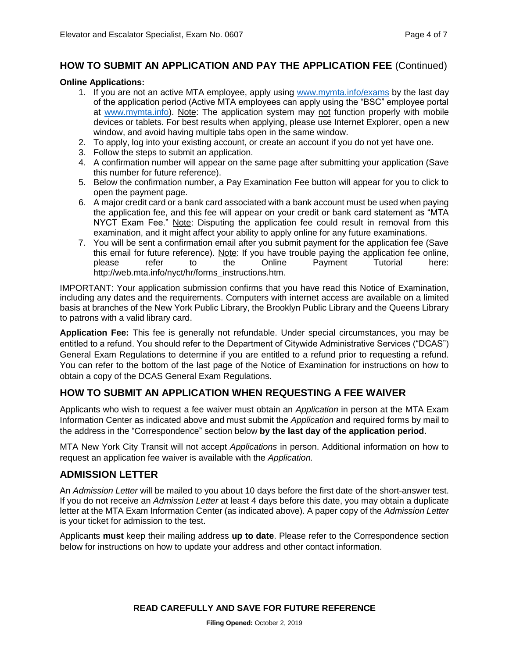#### **HOW TO SUBMIT AN APPLICATION AND PAY THE APPLICATION FEE** (Continued)

#### **Online Applications:**

- 1. If you are not an active MTA employee, apply using [www.mymta.info/exams](http://www.mymta.info/exams) by the last day of the application period (Active MTA employees can apply using the "BSC" employee portal at [www.mymta.info\)](http://www.mymta.info/). Note: The application system may not function properly with mobile devices or tablets. For best results when applying, please use Internet Explorer, open a new window, and avoid having multiple tabs open in the same window.
- 2. To apply, log into your existing account, or create an account if you do not yet have one.
- 3. Follow the steps to submit an application.
- 4. A confirmation number will appear on the same page after submitting your application (Save this number for future reference).
- 5. Below the confirmation number, a Pay Examination Fee button will appear for you to click to open the payment page.
- 6. A major credit card or a bank card associated with a bank account must be used when paying the application fee, and this fee will appear on your credit or bank card statement as "MTA NYCT Exam Fee." Note: Disputing the application fee could result in removal from this examination, and it might affect your ability to apply online for any future examinations.
- 7. You will be sent a confirmation email after you submit payment for the application fee (Save this email for future reference). Note: If you have trouble paying the application fee online, please refer to the Online Payment Tutorial here: http://web.mta.info/nyct/hr/forms\_instructions.htm.

IMPORTANT: Your application submission confirms that you have read this Notice of Examination, including any dates and the requirements. Computers with internet access are available on a limited basis at branches of the New York Public Library, the Brooklyn Public Library and the Queens Library to patrons with a valid library card.

**Application Fee:** This fee is generally not refundable. Under special circumstances, you may be entitled to a refund. You should refer to the Department of Citywide Administrative Services ("DCAS") General Exam Regulations to determine if you are entitled to a refund prior to requesting a refund. You can refer to the bottom of the last page of the Notice of Examination for instructions on how to obtain a copy of the DCAS General Exam Regulations.

#### **HOW TO SUBMIT AN APPLICATION WHEN REQUESTING A FEE WAIVER**

Applicants who wish to request a fee waiver must obtain an *Application* in person at the MTA Exam Information Center as indicated above and must submit the *Application* and required forms by mail to the address in the "Correspondence" section below **by the last day of the application period**.

MTA New York City Transit will not accept *Applications* in person. Additional information on how to request an application fee waiver is available with the *Application.*

#### **ADMISSION LETTER**

An *Admission Letter* will be mailed to you about 10 days before the first date of the short-answer test. If you do not receive an *Admission Letter* at least 4 days before this date, you may obtain a duplicate letter at the MTA Exam Information Center (as indicated above). A paper copy of the *Admission Letter* is your ticket for admission to the test.

Applicants **must** keep their mailing address **up to date**. Please refer to the Correspondence section below for instructions on how to update your address and other contact information.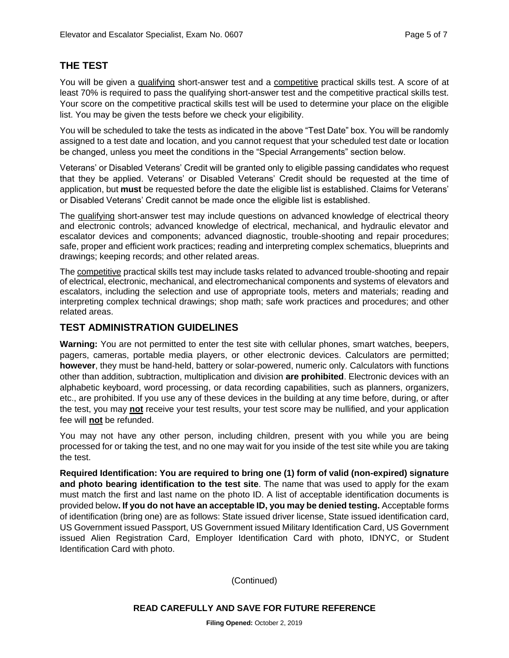#### **THE TEST**

You will be given a qualifying short-answer test and a competitive practical skills test. A score of at least 70% is required to pass the qualifying short-answer test and the competitive practical skills test. Your score on the competitive practical skills test will be used to determine your place on the eligible list. You may be given the tests before we check your eligibility.

You will be scheduled to take the tests as indicated in the above "Test Date" box. You will be randomly assigned to a test date and location, and you cannot request that your scheduled test date or location be changed, unless you meet the conditions in the "Special Arrangements" section below.

Veterans' or Disabled Veterans' Credit will be granted only to eligible passing candidates who request that they be applied. Veterans' or Disabled Veterans' Credit should be requested at the time of application, but **must** be requested before the date the eligible list is established. Claims for Veterans' or Disabled Veterans' Credit cannot be made once the eligible list is established.

The qualifying short-answer test may include questions on advanced knowledge of electrical theory and electronic controls; advanced knowledge of electrical, mechanical, and hydraulic elevator and escalator devices and components; advanced diagnostic, trouble-shooting and repair procedures; safe, proper and efficient work practices; reading and interpreting complex schematics, blueprints and drawings; keeping records; and other related areas.

The competitive practical skills test may include tasks related to advanced trouble-shooting and repair of electrical, electronic, mechanical, and electromechanical components and systems of elevators and escalators, including the selection and use of appropriate tools, meters and materials; reading and interpreting complex technical drawings; shop math; safe work practices and procedures; and other related areas.

#### **TEST ADMINISTRATION GUIDELINES**

**Warning:** You are not permitted to enter the test site with cellular phones, smart watches, beepers, pagers, cameras, portable media players, or other electronic devices. Calculators are permitted; **however**, they must be hand-held, battery or solar-powered, numeric only. Calculators with functions other than addition, subtraction, multiplication and division **are prohibited**. Electronic devices with an alphabetic keyboard, word processing, or data recording capabilities, such as planners, organizers, etc., are prohibited. If you use any of these devices in the building at any time before, during, or after the test, you may **not** receive your test results, your test score may be nullified, and your application fee will **not** be refunded.

You may not have any other person, including children, present with you while you are being processed for or taking the test, and no one may wait for you inside of the test site while you are taking the test.

**Required Identification: You are required to bring one (1) form of valid (non-expired) signature and photo bearing identification to the test site**. The name that was used to apply for the exam must match the first and last name on the photo ID. A list of acceptable identification documents is provided below**. If you do not have an acceptable ID, you may be denied testing.** Acceptable forms of identification (bring one) are as follows: State issued driver license, State issued identification card, US Government issued Passport, US Government issued Military Identification Card, US Government issued Alien Registration Card, Employer Identification Card with photo, IDNYC, or Student Identification Card with photo.

(Continued)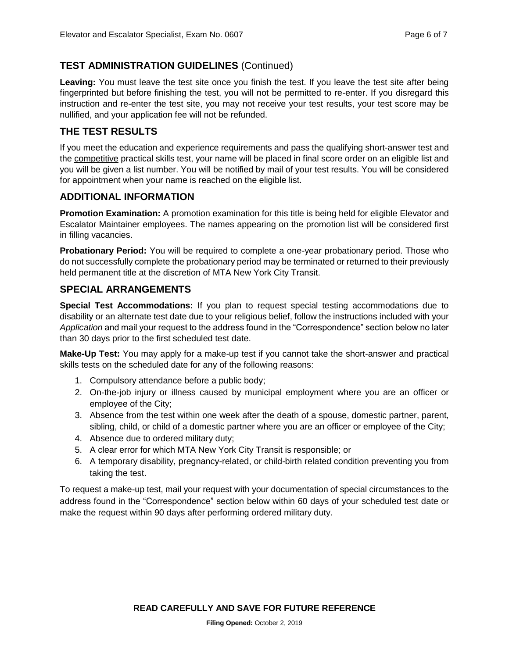#### **TEST ADMINISTRATION GUIDELINES** (Continued)

Leaving: You must leave the test site once you finish the test. If you leave the test site after being fingerprinted but before finishing the test, you will not be permitted to re-enter. If you disregard this instruction and re-enter the test site, you may not receive your test results, your test score may be nullified, and your application fee will not be refunded.

#### **THE TEST RESULTS**

If you meet the education and experience requirements and pass the qualifying short-answer test and the competitive practical skills test, your name will be placed in final score order on an eligible list and you will be given a list number. You will be notified by mail of your test results. You will be considered for appointment when your name is reached on the eligible list.

#### **ADDITIONAL INFORMATION**

**Promotion Examination:** A promotion examination for this title is being held for eligible Elevator and Escalator Maintainer employees. The names appearing on the promotion list will be considered first in filling vacancies.

**Probationary Period:** You will be required to complete a one-year probationary period. Those who do not successfully complete the probationary period may be terminated or returned to their previously held permanent title at the discretion of MTA New York City Transit.

#### **SPECIAL ARRANGEMENTS**

**Special Test Accommodations:** If you plan to request special testing accommodations due to disability or an alternate test date due to your religious belief, follow the instructions included with your *Application* and mail your request to the address found in the "Correspondence" section below no later than 30 days prior to the first scheduled test date.

**Make-Up Test:** You may apply for a make-up test if you cannot take the short-answer and practical skills tests on the scheduled date for any of the following reasons:

- 1. Compulsory attendance before a public body;
- 2. On-the-job injury or illness caused by municipal employment where you are an officer or employee of the City;
- 3. Absence from the test within one week after the death of a spouse, domestic partner, parent, sibling, child, or child of a domestic partner where you are an officer or employee of the City;
- 4. Absence due to ordered military duty;
- 5. A clear error for which MTA New York City Transit is responsible; or
- 6. A temporary disability, pregnancy-related, or child-birth related condition preventing you from taking the test.

To request a make-up test, mail your request with your documentation of special circumstances to the address found in the "Correspondence" section below within 60 days of your scheduled test date or make the request within 90 days after performing ordered military duty.

**READ CAREFULLY AND SAVE FOR FUTURE REFERENCE**